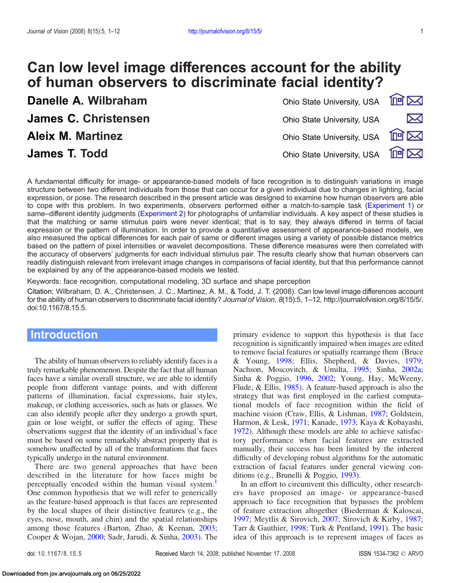# Can low level image differences account for the ability of human observers to discriminate facial identity?

**Danelle A. Wilbraham Chinese Chinese Chinese Chinese Chinese Chinese Chinese Chinese Chinese Chinese A. Communisty, USA James C. Christensen C. Christensen C. Christensen C. Community, USA Aleix M. Martinez Community** Child State University, USA

**Turi Dali**  $\bm{\boxtimes}$  $\ln$ an  $\nabla\!\!\!\!\times$ **James T. Todd Ohio State University, USA** 

A fundamental difficulty for image- or appearance-based models of face recognition is to distinguish variations in image structure between two different individuals from those that can occur for a given individual due to changes in lighting, facial expression, or pose. The research described in the present article was designed to examine how human observers are able to cope with this problem. In two experiments, observers performed either a match-to-sample task [\(Experiment 1\)](#page-1-0) or same–different identity judgments [\(Experiment 2\)](#page-5-0) for photographs of unfamiliar individuals. A key aspect of these studies is that the matching or same stimulus pairs were never identical; that is to say, they always differed in terms of facial expression or the pattern of illumination. In order to provide a quantitative assessment of appearance-based models, we also measured the optical differences for each pair of same or different images using a variety of possible distance metrics based on the pattern of pixel intensities or wavelet decompositions. These difference measures were then correlated with the accuracy of observers' judgments for each individual stimulus pair. The results clearly show that human observers can readily distinguish relevant from irrelevant image changes in comparisons of facial identity, but that this performance cannot be explained by any of the appearance-based models we tested.

Keywords: face recognition, computational modeling, 3D surface and shape perception

Citation: Wilbraham, D. A., Christensen, J. C., Martinez, A. M., & Todd, J. T. (2008). Can low level image differences account for the ability of human observers to discriminate facial identity? Journal of Vision, 8(15):5, 1-12, http://journalofvision.org/8/15/5/, doi:10.1167/8.15.5.

# **Introduction**

The ability of human observers to reliably identify faces is a truly remarkable phenomenon. Despite the fact that all human faces have a similar overall structure, we are able to identify people from different vantage points, and with different patterns of illumination, facial expressions, hair styles, makeup, or clothing accessories, such as hats or glasses. We can also identify people after they undergo a growth spurt, gain or lose weight, or suffer the effects of aging. These observations suggest that the identity of an individual's face must be based on some remarkably abstract property that is somehow unaffected by all of the transformations that faces typically undergo in the natural environment.

There are two general approaches that have been described in the literature for how faces might be perceptually encoded within the human visual system.<sup>1</sup> One common hypothesis that we will refer to generically as the feature-based approach is that faces are represented by the local shapes of their distinctive features (e.g., the eyes, nose, mouth, and chin) and the spatial relationships among those features (Barton, Zhao, & Keenan, [2003](#page-9-0); Cooper & Wojan, [2000;](#page-10-0) Sadr, Jarudi, & Sinha, [2003\)](#page-10-0). The

primary evidence to support this hypothesis is that face recognition is significantly impaired when images are edited to remove facial features or spatially rearrange them (Bruce & Young, [1998;](#page-9-0) Ellis, Shepherd, & Davies, [1979;](#page-10-0) Nachson, Moscovitch, & Umilta, [1995](#page-10-0); Sinha, [2002a;](#page-11-0) Sinha & Poggio, [1996,](#page-11-0) [2002](#page-11-0); Young, Hay, McWeeny, Flude, & Ellis, [1985](#page-11-0)). A feature-based approach is also the strategy that was first employed in the earliest computational models of face recognition within the field of machine vision (Craw, Ellis, & Lishman, [1987;](#page-10-0) Goldstein, Harmon, & Lesk, [1971](#page-10-0); Kanade, [1973](#page-10-0); Kaya & Kobayashi, [1972](#page-10-0)). Although these models are able to achieve satisfactory performance when facial features are extracted manually, their success has been limited by the inherent difficulty of developing robust algorithms for the automatic extraction of facial features under general viewing conditions (e.g., Brunelli & Poggio, [1993\)](#page-9-0).

In an effort to circumvent this difficulty, other researchers have proposed an image- or appearance-based approach to face recognition that bypasses the problem of feature extraction altogether (Biederman & Kaloscai, [1997;](#page-9-0) Meytlis & Sirovich, [2007](#page-10-0); Sirovich & Kirby, [1987;](#page-11-0) Tarr & Gauthier, [1998;](#page-11-0) Turk & Pentland, [1991](#page-11-0)). The basic idea of this approach is to represent images of faces as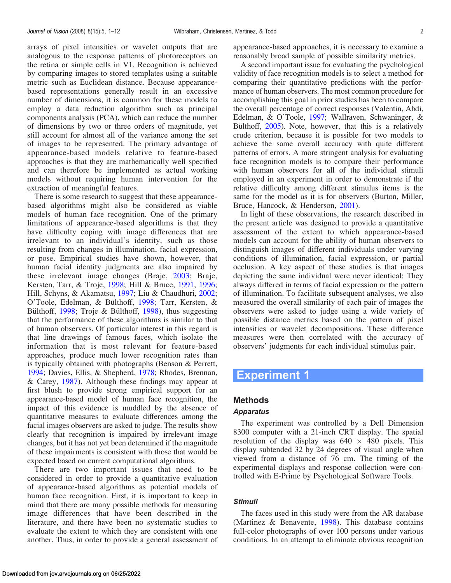<span id="page-1-0"></span>arrays of pixel intensities or wavelet outputs that are analogous to the response patterns of photoreceptors on the retina or simple cells in V1. Recognition is achieved by comparing images to stored templates using a suitable metric such as Euclidean distance. Because appearancebased representations generally result in an excessive number of dimensions, it is common for these models to employ a data reduction algorithm such as principal components analysis (PCA), which can reduce the number of dimensions by two or three orders of magnitude, yet still account for almost all of the variance among the set of images to be represented. The primary advantage of appearance-based models relative to feature-based approaches is that they are mathematically well specified and can therefore be implemented as actual working models without requiring human intervention for the extraction of meaningful features.

There is some research to suggest that these appearancebased algorithms might also be considered as viable models of human face recognition. One of the primary limitations of appearance-based algorithms is that they have difficulty coping with image differences that are irrelevant to an individual's identity, such as those resulting from changes in illumination, facial expression, or pose. Empirical studies have shown, however, that human facial identity judgments are also impaired by these irrelevant image changes (Braje, [2003;](#page-9-0) Braje, Kersten, Tarr, & Troje, [1998](#page-9-0); Hill & Bruce, [1991,](#page-10-0) [1996](#page-10-0); Hill, Schyns, & Akamatsu, [1997;](#page-10-0) Liu & Chaudhuri, [2002](#page-10-0); O'Toole, Edelman, & Bülthoff, [1998](#page-10-0); Tarr, Kersten, & Bülthoff, [1998](#page-11-0); Troje & Bülthoff, 1998), thus suggesting that the performance of these algorithms is similar to that of human observers. Of particular interest in this regard is that line drawings of famous faces, which isolate the information that is most relevant for feature-based approaches, produce much lower recognition rates than is typically obtained with photographs (Benson & Perrett, [1994;](#page-9-0) Davies, Ellis, & Shepherd, [1978;](#page-10-0) Rhodes, Brennan, & Carey, [1987\)](#page-10-0). Although these findings may appear at first blush to provide strong empirical support for an appearance-based model of human face recognition, the impact of this evidence is muddled by the absence of quantitative measures to evaluate differences among the facial images observers are asked to judge. The results show clearly that recognition is impaired by irrelevant image changes, but it has not yet been determined if the magnitude of these impairments is consistent with those that would be expected based on current computational algorithms.

There are two important issues that need to be considered in order to provide a quantitative evaluation of appearance-based algorithms as potential models of human face recognition. First, it is important to keep in mind that there are many possible methods for measuring image differences that have been described in the literature, and there have been no systematic studies to evaluate the extent to which they are consistent with one another. Thus, in order to provide a general assessment of appearance-based approaches, it is necessary to examine a reasonably broad sample of possible similarity metrics.

A second important issue for evaluating the psychological validity of face recognition models is to select a method for comparing their quantitative predictions with the performance of human observers. The most common procedure for accomplishing this goal in prior studies has been to compare the overall percentage of correct responses (Valentin, Abdi, Edelman, & O'Toole, [1997;](#page-11-0) Wallraven, Schwaninger, & Buthoff, [2005\)](#page-11-0). Note, however, that this is a relatively crude criterion, because it is possible for two models to achieve the same overall accuracy with quite different patterns of errors. A more stringent analysis for evaluating face recognition models is to compare their performance with human observers for all of the individual stimuli employed in an experiment in order to demonstrate if the relative difficulty among different stimulus items is the same for the model as it is for observers (Burton, Miller, Bruce, Hancock, & Henderson, [2001\)](#page-9-0).

In light of these observations, the research described in the present article was designed to provide a quantitative assessment of the extent to which appearance-based models can account for the ability of human observers to distinguish images of different individuals under varying conditions of illumination, facial expression, or partial occlusion. A key aspect of these studies is that images depicting the same individual were never identical: They always differed in terms of facial expression or the pattern of illumination. To facilitate subsequent analyses, we also measured the overall similarity of each pair of images the observers were asked to judge using a wide variety of possible distance metrics based on the pattern of pixel intensities or wavelet decompositions. These difference measures were then correlated with the accuracy of observers' judgments for each individual stimulus pair.

### Experiment 1

### Methods

### Apparatus

The experiment was controlled by a Dell Dimension 8300 computer with a 21-inch CRT display. The spatial resolution of the display was  $640 \times 480$  pixels. This display subtended 32 by 24 degrees of visual angle when viewed from a distance of 76 cm. The timing of the experimental displays and response collection were controlled with E-Prime by Psychological Software Tools.

### Stimuli

The faces used in this study were from the AR database (Martinez & Benavente, [1998](#page-10-0)). This database contains full-color photographs of over 100 persons under various conditions. In an attempt to eliminate obvious recognition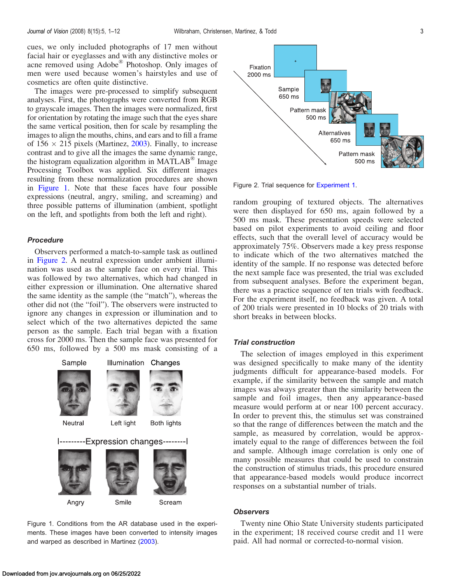cues, we only included photographs of 17 men without facial hair or eyeglasses and with any distinctive moles or acne removed using  $\text{Adobe}^{\circledR}$  Photoshop. Only images of men were used because women's hairstyles and use of cosmetics are often quite distinctive.

The images were pre-processed to simplify subsequent analyses. First, the photographs were converted from RGB to grayscale images. Then the images were normalized, first for orientation by rotating the image such that the eyes share the same vertical position, then for scale by resampling the images to align the mouths, chins, and ears and to fill a frame of  $156 \times 215$  pixels (Martinez, [2003\)](#page-10-0). Finally, to increase contrast and to give all the images the same dynamic range, the histogram equalization algorithm in MATLAB $\rm^{\circ}\,$  Image Processing Toolbox was applied. Six different images resulting from these normalization procedures are shown in Figure 1. Note that these faces have four possible expressions (neutral, angry, smiling, and screaming) and three possible patterns of illumination (ambient, spotlight on the left, and spotlights from both the left and right).

### Procedure

Observers performed a match-to-sample task as outlined in Figure 2. A neutral expression under ambient illumination was used as the sample face on every trial. This was followed by two alternatives, which had changed in either expression or illumination. One alternative shared the same identity as the sample (the "match"), whereas the other did not (the "foil"). The observers were instructed to ignore any changes in expression or illumination and to select which of the two alternatives depicted the same person as the sample. Each trial began with a fixation cross for 2000 ms. Then the sample face was presented for 650 ms, followed by a 500 ms mask consisting of a

> Sample Illumination Changes Left light Both lights Neutral I---------Expression changes--------I Smile Scream Angry

Figure 1. Conditions from the AR database used in the experiments. These images have been converted to intensity images and warped as described in Martinez ([2003](#page-10-0)).



Figure 2. Trial sequence for [Experiment 1.](#page-1-0)

random grouping of textured objects. The alternatives were then displayed for 650 ms, again followed by a 500 ms mask. These presentation speeds were selected based on pilot experiments to avoid ceiling and floor effects, such that the overall level of accuracy would be approximately 75%. Observers made a key press response to indicate which of the two alternatives matched the identity of the sample. If no response was detected before the next sample face was presented, the trial was excluded from subsequent analyses. Before the experiment began, there was a practice sequence of ten trials with feedback. For the experiment itself, no feedback was given. A total of 200 trials were presented in 10 blocks of 20 trials with short breaks in between blocks.

#### Trial construction

The selection of images employed in this experiment was designed specifically to make many of the identity judgments difficult for appearance-based models. For example, if the similarity between the sample and match images was always greater than the similarity between the sample and foil images, then any appearance-based measure would perform at or near 100 percent accuracy. In order to prevent this, the stimulus set was constrained so that the range of differences between the match and the sample, as measured by correlation, would be approximately equal to the range of differences between the foil and sample. Although image correlation is only one of many possible measures that could be used to constrain the construction of stimulus triads, this procedure ensured that appearance-based models would produce incorrect responses on a substantial number of trials.

#### **Observers**

Twenty nine Ohio State University students participated in the experiment; 18 received course credit and 11 were paid. All had normal or corrected-to-normal vision.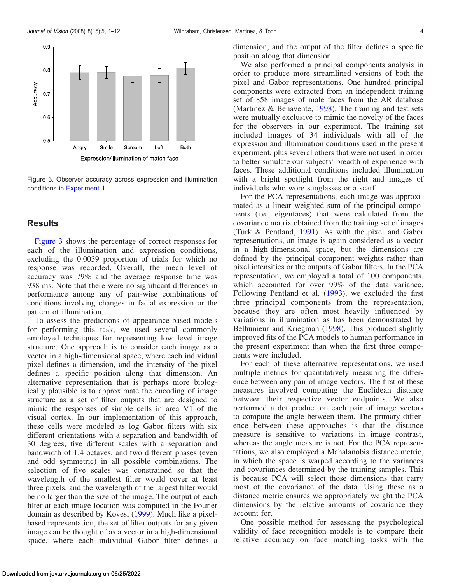

Figure 3. Observer accuracy across expression and illumination conditions in [Experiment 1.](#page-1-0)

### Results

Figure 3 shows the percentage of correct responses for each of the illumination and expression conditions, excluding the 0.0039 proportion of trials for which no response was recorded. Overall, the mean level of accuracy was 79% and the average response time was 938 ms. Note that there were no significant differences in performance among any of pair-wise combinations of conditions involving changes in facial expression or the pattern of illumination.

To assess the predictions of appearance-based models for performing this task, we used several commonly employed techniques for representing low level image structure. One approach is to consider each image as a vector in a high-dimensional space, where each individual pixel defines a dimension, and the intensity of the pixel defines a specific position along that dimension. An alternative representation that is perhaps more biologically plausible is to approximate the encoding of image structure as a set of filter outputs that are designed to mimic the responses of simple cells in area V1 of the visual cortex. In our implementation of this approach, these cells were modeled as log Gabor filters with six different orientations with a separation and bandwidth of 30 degrees, five different scales with a separation and bandwidth of 1.4 octaves, and two different phases (even and odd symmetric) in all possible combinations. The selection of five scales was constrained so that the wavelength of the smallest filter would cover at least three pixels, and the wavelength of the largest filter would be no larger than the size of the image. The output of each filter at each image location was computed in the Fourier domain as described by Kovesi [\(1999\)](#page-10-0). Much like a pixelbased representation, the set of filter outputs for any given image can be thought of as a vector in a high-dimensional space, where each individual Gabor filter defines a dimension, and the output of the filter defines a specific position along that dimension.

We also performed a principal components analysis in order to produce more streamlined versions of both the pixel and Gabor representations. One hundred principal components were extracted from an independent training set of 858 images of male faces from the AR database (Martinez & Benavente, [1998\)](#page-10-0). The training and test sets were mutually exclusive to mimic the novelty of the faces for the observers in our experiment. The training set included images of 34 individuals with all of the expression and illumination conditions used in the present experiment, plus several others that were not used in order to better simulate our subjects' breadth of experience with faces. These additional conditions included illumination with a bright spotlight from the right and images of individuals who wore sunglasses or a scarf.

For the PCA representations, each image was approximated as a linear weighted sum of the principal components (i.e., eigenfaces) that were calculated from the covariance matrix obtained from the training set of images (Turk & Pentland, [1991](#page-11-0)). As with the pixel and Gabor representations, an image is again considered as a vector in a high-dimensional space, but the dimensions are defined by the principal component weights rather than pixel intensities or the outputs of Gabor filters. In the PCA representation, we employed a total of 100 components, which accounted for over 99% of the data variance. Following Pentland et al. [\(1993](#page-10-0)), we excluded the first three principal components from the representation, because they are often most heavily influenced by variations in illumination as has been demonstrated by Belhumeur and Kriegman [\(1998](#page-9-0)). This produced slightly improved fits of the PCA models to human performance in the present experiment than when the first three components were included.

For each of these alternative representations, we used multiple metrics for quantitatively measuring the difference between any pair of image vectors. The first of these measures involved computing the Euclidean distance between their respective vector endpoints. We also performed a dot product on each pair of image vectors to compute the angle between them. The primary difference between these approaches is that the distance measure is sensitive to variations in image contrast, whereas the angle measure is not. For the PCA representations, we also employed a Mahalanobis distance metric, in which the space is warped according to the variances and covariances determined by the training samples. This is because PCA will select those dimensions that carry most of the covariance of the data. Using these as a distance metric ensures we appropriately weight the PCA dimensions by the relative amounts of covariance they account for.

One possible method for assessing the psychological validity of face recognition models is to compare their relative accuracy on face matching tasks with the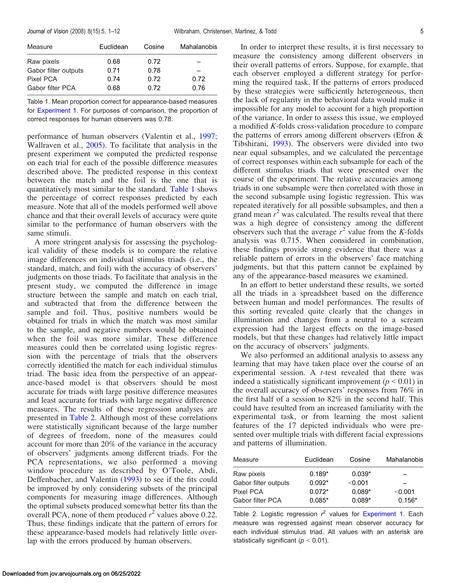| Measure              | Euclidean | Cosine | Mahalanobis |
|----------------------|-----------|--------|-------------|
| Raw pixels           | 0.68      | 0.72   |             |
| Gabor filter outputs | 0.71      | 0.78   |             |
| Pixel PCA            | 0.74      | 0.72   | 0.72        |
| Gabor filter PCA     | 0.68      | 0.72   | 0.76        |

Table 1. Mean proportion correct for appearance-based measures for [Experiment 1.](#page-1-0) For purposes of comparison, the proportion of correct responses for human observers was 0.78.

performance of human observers (Valentin et al., [1997](#page-11-0); Wallraven et al., [2005\)](#page-11-0). To facilitate that analysis in the present experiment we computed the predicted response on each trial for each of the possible difference measures described above. The predicted response in this context between the match and the foil is the one that is quantitatively most similar to the standard. Table 1 shows the percentage of correct responses predicted by each measure. Note that all of the models performed well above chance and that their overall levels of accuracy were quite similar to the performance of human observers with the same stimuli.

A more stringent analysis for assessing the psychological validity of these models is to compare the relative image differences on individual stimulus triads (i.e., the standard, match, and foil) with the accuracy of observers' judgments on those triads. To facilitate that analysis in the present study, we computed the difference in image structure between the sample and match on each trial, and subtracted that from the difference between the sample and foil. Thus, positive numbers would be obtained for trials in which the match was most similar to the sample, and negative numbers would be obtained when the foil was more similar. These difference measures could then be correlated using logistic regression with the percentage of trials that the observers correctly identified the match for each individual stimulus triad. The basic idea from the perspective of an appearance-based model is that observers should be most accurate for triads with large positive difference measures and least accurate for triads with large negative difference measures. The results of these regression analyses are presented in Table 2. Although most of these correlations were statistically significant because of the large number of degrees of freedom, none of the measures could account for more than 20% of the variance in the accuracy of observers' judgments among different triads. For the PCA representations, we also performed a moving window procedure as described by O'Toole, Abdi, Deffenbacher, and Valentin [\(1993](#page-10-0)) to see if the fits could be improved by only considering subsets of the principal components for measuring image differences. Although the optimal subsets produced somewhat better fits than the overall PCA, none of them produced  $r^2$  values above 0.22. Thus, these findings indicate that the pattern of errors for these appearance-based models had relatively little overlap with the errors produced by human observers.

In order to interpret these results, it is first necessary to measure the consistency among different observers in their overall patterns of errors. Suppose, for example, that each observer employed a different strategy for performing the required task. If the patterns of errors produced by these strategies were sufficiently heterogeneous, then the lack of regularity in the behavioral data would make it impossible for any model to account for a high proportion of the variance. In order to assess this issue, we employed a modified K-folds cross-validation procedure to compare the patterns of errors among different observers (Efron & Tibshirani, [1993\)](#page-10-0). The observers were divided into two near equal subsamples, and we calculated the percentage of correct responses within each subsample for each of the different stimulus triads that were presented over the course of the experiment. The relative accuracies among triads in one subsample were then correlated with those in the second subsample using logistic regression. This was repeated iteratively for all possible subsamples, and then a grand mean  $r^2$  was calculated. The results reveal that there was a high degree of consistency among the different observers such that the average  $r^2$  value from the K-folds analysis was 0.715. When considered in combination, these findings provide strong evidence that there was a reliable pattern of errors in the observers' face matching judgments, but that this pattern cannot be explained by any of the appearance-based measures we examined.

In an effort to better understand these results, we sorted all the triads in a spreadsheet based on the difference between human and model performances. The results of this sorting revealed quite clearly that the changes in illumination and changes from a neutral to a scream expression had the largest effects on the image-based models, but that these changes had relatively little impact on the accuracy of observers' judgments.

We also performed an additional analysis to assess any learning that may have taken place over the course of an experimental session. A t-test revealed that there was indeed a statistically significant improvement ( $p < 0.01$ ) in the overall accuracy of observers' responses from 76% in the first half of a session to 82% in the second half. This could have resulted from an increased familiarity with the experimental task, or from learning the most salient features of the 17 depicted individuals who were presented over multiple trials with different facial expressions and patterns of illumination.

| Measure              | Euclidean | Cosine   | Mahalanobis |
|----------------------|-----------|----------|-------------|
| Raw pixels           | $0.189*$  | $0.039*$ |             |
| Gabor filter outputs | $0.092*$  | < 0.001  |             |
| Pixel PCA            | $0.072*$  | $0.089*$ | $<$ 0.001   |
| Gabor filter PCA     | $0.085*$  | $0.089*$ | $0.156*$    |
|                      |           |          |             |

Table 2. Logistic regression  $r^2$  values for [Experiment 1](#page-1-0). Each measure was regressed against mean observer accuracy for each individual stimulus triad. All values with an asterisk are statistically significant ( $p < 0.01$ ).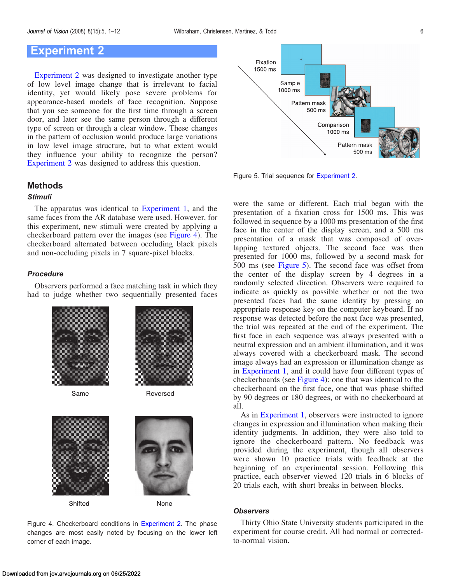### <span id="page-5-0"></span>Experiment 2

Experiment 2 was designed to investigate another type of low level image change that is irrelevant to facial identity, yet would likely pose severe problems for appearance-based models of face recognition. Suppose that you see someone for the first time through a screen door, and later see the same person through a different type of screen or through a clear window. These changes in the pattern of occlusion would produce large variations in low level image structure, but to what extent would they influence your ability to recognize the person? Experiment 2 was designed to address this question.

### Methods

### Stimuli

The apparatus was identical to [Experiment 1,](#page-1-0) and the same faces from the AR database were used. However, for this experiment, new stimuli were created by applying a checkerboard pattern over the images (see Figure 4). The checkerboard alternated between occluding black pixels and non-occluding pixels in 7 square-pixel blocks.

#### Procedure

Observers performed a face matching task in which they had to judge whether two sequentially presented faces



Figure 4. Checkerboard conditions in Experiment 2. The phase changes are most easily noted by focusing on the lower left corner of each image.



Figure 5. Trial sequence for Experiment 2.

were the same or different. Each trial began with the presentation of a fixation cross for 1500 ms. This was followed in sequence by a 1000 ms presentation of the first face in the center of the display screen, and a 500 ms presentation of a mask that was composed of overlapping textured objects. The second face was then presented for 1000 ms, followed by a second mask for 500 ms (see Figure 5). The second face was offset from the center of the display screen by 4 degrees in a randomly selected direction. Observers were required to indicate as quickly as possible whether or not the two presented faces had the same identity by pressing an appropriate response key on the computer keyboard. If no response was detected before the next face was presented, the trial was repeated at the end of the experiment. The first face in each sequence was always presented with a neutral expression and an ambient illumination, and it was always covered with a checkerboard mask. The second image always had an expression or illumination change as in [Experiment 1](#page-1-0), and it could have four different types of checkerboards (see Figure 4): one that was identical to the checkerboard on the first face, one that was phase shifted by 90 degrees or 180 degrees, or with no checkerboard at all.

As in [Experiment 1](#page-1-0), observers were instructed to ignore changes in expression and illumination when making their identity judgments. In addition, they were also told to ignore the checkerboard pattern. No feedback was provided during the experiment, though all observers were shown 10 practice trials with feedback at the beginning of an experimental session. Following this practice, each observer viewed 120 trials in 6 blocks of 20 trials each, with short breaks in between blocks.

#### **Observers**

Thirty Ohio State University students participated in the experiment for course credit. All had normal or correctedto-normal vision.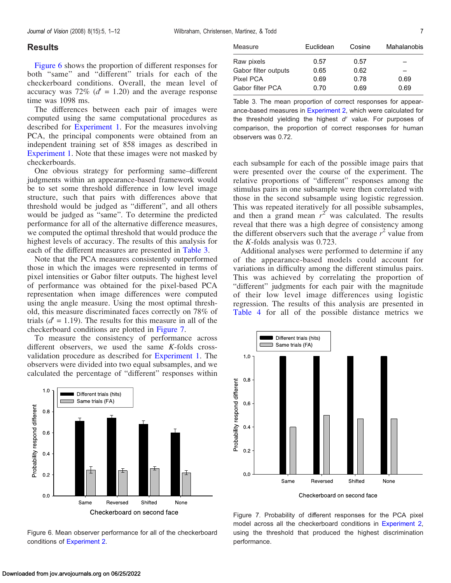### **Results**

Figure 6 shows the proportion of different responses for both "same" and "different" trials for each of the checkerboard conditions. Overall, the mean level of accuracy was  $72\%$  ( $d' = 1.20$ ) and the average response time was 1098 ms.

The differences between each pair of images were computed using the same computational procedures as described for [Experiment 1](#page-1-0). For the measures involving PCA, the principal components were obtained from an independent training set of 858 images as described in [Experiment 1.](#page-1-0) Note that these images were not masked by checkerboards.

One obvious strategy for performing same–different judgments within an appearance-based framework would be to set some threshold difference in low level image structure, such that pairs with differences above that threshold would be judged as "different", and all others would be judged as "same". To determine the predicted performance for all of the alternative difference measures, we computed the optimal threshold that would produce the highest levels of accuracy. The results of this analysis for each of the different measures are presented in Table 3.

Note that the PCA measures consistently outperformed those in which the images were represented in terms of pixel intensities or Gabor filter outputs. The highest level of performance was obtained for the pixel-based PCA representation when image differences were computed using the angle measure. Using the most optimal threshold, this measure discriminated faces correctly on 78% of trials ( $d' = 1.19$ ). The results for this measure in all of the checkerboard conditions are plotted in Figure 7.

To measure the consistency of performance across different observers, we used the same K-folds crossvalidation procedure as described for [Experiment 1](#page-1-0). The observers were divided into two equal subsamples, and we calculated the percentage of "different" responses within



Figure 6. Mean observer performance for all of the checkerboard conditions of [Experiment 2](#page-5-0).

| Measure              | Euclidean | Cosine | Mahalanobis |
|----------------------|-----------|--------|-------------|
| Raw pixels           | 0.57      | 0.57   |             |
| Gabor filter outputs | 0.65      | 0.62   |             |
| Pixel PCA            | 0.69      | 0.78   | 0.69        |
| Gabor filter PCA     | 0.70      | 0.69   | 0.69        |
|                      |           |        |             |

Table 3. The mean proportion of correct responses for appearance-based measures in [Experiment 2,](#page-5-0) which were calculated for the threshold yielding the highest  $d'$  value. For purposes of comparison, the proportion of correct responses for human observers was 0.72.

each subsample for each of the possible image pairs that were presented over the course of the experiment. The relative proportions of "different" responses among the stimulus pairs in one subsample were then correlated with those in the second subsample using logistic regression. This was repeated iteratively for all possible subsamples, and then a grand mean  $r^2$  was calculated. The results reveal that there was a high degree of consistency among the different observers such that the average  $r^2$  value from the K-folds analysis was 0.723.

Additional analyses were performed to determine if any of the appearance-based models could account for variations in difficulty among the different stimulus pairs. This was achieved by correlating the proportion of "different" judgments for each pair with the magnitude of their low level image differences using logistic regression. The results of this analysis are presented in [Table 4](#page-7-0) for all of the possible distance metrics we



Figure 7. Probability of different responses for the PCA pixel model across all the checkerboard conditions in [Experiment 2,](#page-5-0) using the threshold that produced the highest discrimination performance.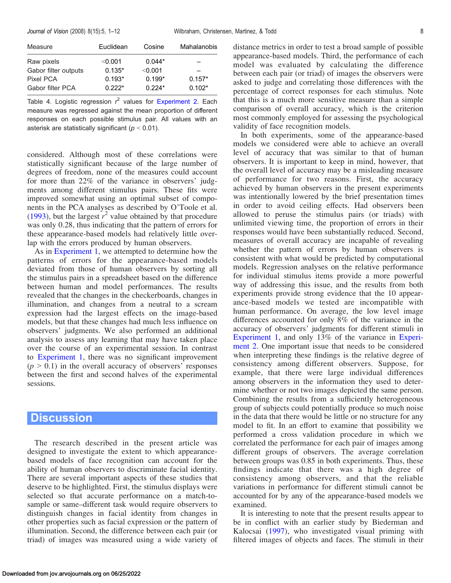<span id="page-7-0"></span>

| Measure              | Euclidean | Cosine    | Mahalanobis |
|----------------------|-----------|-----------|-------------|
| Raw pixels           | $<$ 0.001 | $0.044*$  |             |
| Gabor filter outputs | $0.135*$  | $<$ 0.001 |             |
| Pixel PCA            | $0.193*$  | $0.199*$  | $0.157*$    |
| Gabor filter PCA     | $0.222*$  | $0.224*$  | $0.102*$    |

Table 4. Logistic regression  $r^2$  values for [Experiment 2.](#page-5-0) Each measure was regressed against the mean proportion of different responses on each possible stimulus pair. All values with an asterisk are statistically significant ( $p < 0.01$ ).

considered. Although most of these correlations were statistically significant because of the large number of degrees of freedom, none of the measures could account for more than 22% of the variance in observers' judgments among different stimulus pairs. These fits were improved somewhat using an optimal subset of components in the PCA analyses as described by O'Toole et al. ([1993\)](#page-10-0), but the largest  $r^2$  value obtained by that procedure was only 0.28, thus indicating that the pattern of errors for these appearance-based models had relatively little overlap with the errors produced by human observers.

As in [Experiment 1](#page-1-0), we attempted to determine how the patterns of errors for the appearance-based models deviated from those of human observers by sorting all the stimulus pairs in a spreadsheet based on the difference between human and model performances. The results revealed that the changes in the checkerboards, changes in illumination, and changes from a neutral to a scream expression had the largest effects on the image-based models, but that these changes had much less influence on observers' judgments. We also performed an additional analysis to assess any learning that may have taken place over the course of an experimental session. In contrast to [Experiment 1,](#page-1-0) there was no significant improvement  $(p > 0.1)$  in the overall accuracy of observers' responses between the first and second halves of the experimental sessions.

# **Discussion**

The research described in the present article was designed to investigate the extent to which appearancebased models of face recognition can account for the ability of human observers to discriminate facial identity. There are several important aspects of these studies that deserve to be highlighted. First, the stimulus displays were selected so that accurate performance on a match-tosample or same–different task would require observers to distinguish changes in facial identity from changes in other properties such as facial expression or the pattern of illumination. Second, the difference between each pair (or triad) of images was measured using a wide variety of distance metrics in order to test a broad sample of possible appearance-based models. Third, the performance of each model was evaluated by calculating the difference between each pair (or triad) of images the observers were asked to judge and correlating those differences with the percentage of correct responses for each stimulus. Note that this is a much more sensitive measure than a simple comparison of overall accuracy, which is the criterion most commonly employed for assessing the psychological validity of face recognition models.

In both experiments, some of the appearance-based models we considered were able to achieve an overall level of accuracy that was similar to that of human observers. It is important to keep in mind, however, that the overall level of accuracy may be a misleading measure of performance for two reasons. First, the accuracy achieved by human observers in the present experiments was intentionally lowered by the brief presentation times in order to avoid ceiling effects. Had observers been allowed to peruse the stimulus pairs (or triads) with unlimited viewing time, the proportion of errors in their responses would have been substantially reduced. Second, measures of overall accuracy are incapable of revealing whether the pattern of errors by human observers is consistent with what would be predicted by computational models. Regression analyses on the relative performance for individual stimulus items provide a more powerful way of addressing this issue, and the results from both experiments provide strong evidence that the 10 appearance-based models we tested are incompatible with human performance. On average, the low level image differences accounted for only 8% of the variance in the accuracy of observers' judgments for different stimuli in [Experiment 1](#page-1-0), and only 13% of the variance in [Experi](#page-5-0)[ment 2](#page-5-0). One important issue that needs to be considered when interpreting these findings is the relative degree of consistency among different observers. Suppose, for example, that there were large individual differences among observers in the information they used to determine whether or not two images depicted the same person. Combining the results from a sufficiently heterogeneous group of subjects could potentially produce so much noise in the data that there would be little or no structure for any model to fit. In an effort to examine that possibility we performed a cross validation procedure in which we correlated the performance for each pair of images among different groups of observers. The average correlation between groups was 0.85 in both experiments. Thus, these findings indicate that there was a high degree of consistency among observers, and that the reliable variations in performance for different stimuli cannot be accounted for by any of the appearance-based models we examined.

It is interesting to note that the present results appear to be in conflict with an earlier study by Biederman and Kalocsai ([1997\)](#page-9-0), who investigated visual priming with filtered images of objects and faces. The stimuli in their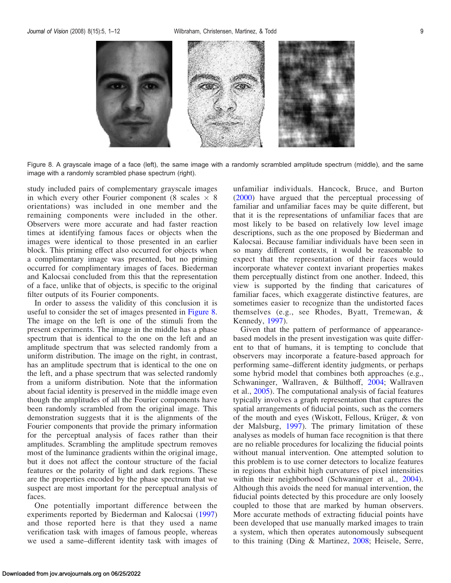

Figure 8. A grayscale image of a face (left), the same image with a randomly scrambled amplitude spectrum (middle), and the same image with a randomly scrambled phase spectrum (right).

study included pairs of complementary grayscale images in which every other Fourier component (8 scales  $\times$  8 orientations) was included in one member and the remaining components were included in the other. Observers were more accurate and had faster reaction times at identifying famous faces or objects when the images were identical to those presented in an earlier block. This priming effect also occurred for objects when a complimentary image was presented, but no priming occurred for complimentary images of faces. Biederman and Kalocsai concluded from this that the representation of a face, unlike that of objects, is specific to the original filter outputs of its Fourier components.

In order to assess the validity of this conclusion it is useful to consider the set of images presented in Figure 8. The image on the left is one of the stimuli from the present experiments. The image in the middle has a phase spectrum that is identical to the one on the left and an amplitude spectrum that was selected randomly from a uniform distribution. The image on the right, in contrast, has an amplitude spectrum that is identical to the one on the left, and a phase spectrum that was selected randomly from a uniform distribution. Note that the information about facial identity is preserved in the middle image even though the amplitudes of all the Fourier components have been randomly scrambled from the original image. This demonstration suggests that it is the alignments of the Fourier components that provide the primary information for the perceptual analysis of faces rather than their amplitudes. Scrambling the amplitude spectrum removes most of the luminance gradients within the original image, but it does not affect the contour structure of the facial features or the polarity of light and dark regions. These are the properties encoded by the phase spectrum that we suspect are most important for the perceptual analysis of faces.

One potentially important difference between the experiments reported by Biederman and Kalocsai ([1997\)](#page-9-0) and those reported here is that they used a name verification task with images of famous people, whereas we used a same–different identity task with images of unfamiliar individuals. Hancock, Bruce, and Burton [\(2000](#page-10-0)) have argued that the perceptual processing of familiar and unfamiliar faces may be quite different, but that it is the representations of unfamiliar faces that are most likely to be based on relatively low level image descriptions, such as the one proposed by Biederman and Kalocsai. Because familiar individuals have been seen in so many different contexts, it would be reasonable to expect that the representation of their faces would incorporate whatever context invariant properties makes them perceptually distinct from one another. Indeed, this view is supported by the finding that caricatures of familiar faces, which exaggerate distinctive features, are sometimes easier to recognize than the undistorted faces themselves (e.g., see Rhodes, Byatt, Tremewan, & Kennedy, [1997\)](#page-10-0).

Given that the pattern of performance of appearancebased models in the present investigation was quite different to that of humans, it is tempting to conclude that observers may incorporate a feature-based approach for performing same–different identity judgments, or perhaps some hybrid model that combines both approaches (e.g., Schwaninger, Wallraven, & Bülthoff, [2004](#page-10-0); Wallraven et al., [2005](#page-11-0)). The computational analysis of facial features typically involves a graph representation that captures the spatial arrangements of fiducial points, such as the corners of the mouth and eyes (Wiskott, Fellous, Krüger, & von der Malsburg, [1997](#page-11-0)). The primary limitation of these analyses as models of human face recognition is that there are no reliable procedures for localizing the fiducial points without manual intervention. One attempted solution to this problem is to use corner detectors to localize features in regions that exhibit high curvatures of pixel intensities within their neighborhood (Schwaninger et al., [2004\)](#page-10-0). Although this avoids the need for manual intervention, the fiducial points detected by this procedure are only loosely coupled to those that are marked by human observers. More accurate methods of extracting fiducial points have been developed that use manually marked images to train a system, which then operates autonomously subsequent to this training (Ding & Martinez, [2008](#page-10-0); Heisele, Serre,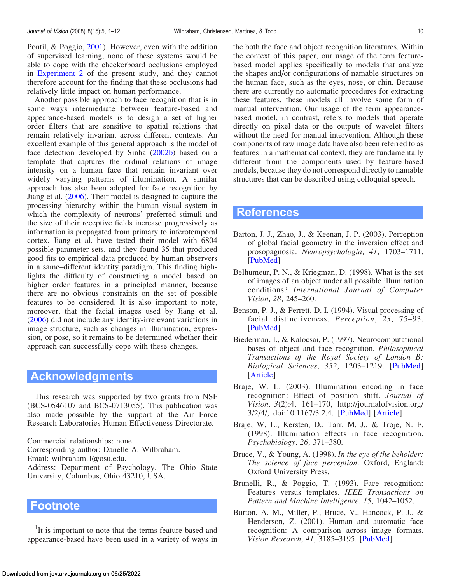<span id="page-9-0"></span>Pontil, & Poggio, [2001\)](#page-10-0). However, even with the addition of supervised learning, none of these systems would be able to cope with the checkerboard occlusions employed in [Experiment 2](#page-5-0) of the present study, and they cannot therefore account for the finding that these occlusions had relatively little impact on human performance.

Another possible approach to face recognition that is in some ways intermediate between feature-based and appearance-based models is to design a set of higher order filters that are sensitive to spatial relations that remain relatively invariant across different contexts. An excellent example of this general approach is the model of face detection developed by Sinha [\(2002b\)](#page-11-0) based on a template that captures the ordinal relations of image intensity on a human face that remain invariant over widely varying patterns of illumination. A similar approach has also been adopted for face recognition by Jiang et al. [\(2006](#page-10-0)). Their model is designed to capture the processing hierarchy within the human visual system in which the complexity of neurons' preferred stimuli and the size of their receptive fields increase progressively as information is propagated from primary to inferotemporal cortex. Jiang et al. have tested their model with 6804 possible parameter sets, and they found 35 that produced good fits to empirical data produced by human observers in a same–different identity paradigm. This finding highlights the difficulty of constructing a model based on higher order features in a principled manner, because there are no obvious constraints on the set of possible features to be considered. It is also important to note, moreover, that the facial images used by Jiang et al. ([2006\)](#page-10-0) did not include any identity-irrelevant variations in image structure, such as changes in illumination, expression, or pose, so it remains to be determined whether their approach can successfully cope with these changes.

# Acknowledgments

This research was supported by two grants from NSF (BCS-0546107 and BCS-0713055). This publication was also made possible by the support of the Air Force Research Laboratories Human Effectiveness Directorate.

Commercial relationships: none.

Corresponding author: Danelle A. Wilbraham.

Email: wilbraham.1@osu.edu.

Address: Department of Psychology, The Ohio State University, Columbus, Ohio 43210, USA.

### Footnote

<sup>1</sup>It is important to note that the terms feature-based and appearance-based have been used in a variety of ways in the both the face and object recognition literatures. Within the context of this paper, our usage of the term featurebased model applies specifically to models that analyze the shapes and/or configurations of namable structures on the human face, such as the eyes, nose, or chin. Because there are currently no automatic procedures for extracting these features, these models all involve some form of manual intervention. Our usage of the term appearancebased model, in contrast, refers to models that operate directly on pixel data or the outputs of wavelet filters without the need for manual intervention. Although these components of raw image data have also been referred to as features in a mathematical context, they are fundamentally different from the components used by feature-based models, because they do not correspond directly to namable structures that can be described using colloquial speech.

# References

- Barton, J. J., Zhao, J., & Keenan, J. P. (2003). Perception of global facial geometry in the inversion effect and prosopagnosia. Neuropsychologia, 41, 1703–1711. [\[PubMed](http://www.ncbi.nlm.nih.gov/pubmed/12887994?ordinalpos=18&itool=EntrezSystem2.PEntrez.Pubmed.Pubmed_ResultsPanel.Pubmed_DefaultReportPanel.Pubmed_RVDocSum)]
- Belhumeur, P. N., & Kriegman, D. (1998). What is the set of images of an object under all possible illumination conditions? International Journal of Computer Vision, 28, 245–260.
- Benson, P. J., & Perrett, D. I. (1994). Visual processing of facial distinctiveness. Perception, 23, 75-93. [\[PubMed](http://www.ncbi.nlm.nih.gov/pubmed/7936978?ordinalpos=9&itool=EntrezSystem2.PEntrez.Pubmed.Pubmed_ResultsPanel.Pubmed_DefaultReportPanel.Pubmed_RVDocSum)]
- Biederman, I., & Kalocsai, P. (1997). Neurocomputational bases of object and face recognition. Philosophical Transactions of the Royal Society of London B: Biological Sciences, 352, 1203–1219. [[PubMed](http://www.ncbi.nlm.nih.gov/pubmed/9304687?ordinalpos=3&itool=EntrezSystem2.PEntrez.Pubmed.Pubmed_ResultsPanel.Pubmed_DefaultReportPanel.Pubmed_RVDocSum)] [\[Article\]](http://www.pubmedcentral.nih.gov/articlerender.fcgi?tool=pubmed&pubmedid=9304687)
- Braje, W. L. (2003). Illumination encoding in face recognition: Effect of position shift. Journal of Vision, 3(2):4, 161–170, http://journalofvision.org/ 3/2/4/, doi:10.1167/3.2.4. [[PubMed](http://www.ncbi.nlm.nih.gov/pubmed/12678618?ordinalpos=1&itool=EntrezSystem2.PEntrez.Pubmed.Pubmed_ResultsPanel.Pubmed_DefaultReportPanel.Pubmed_RVDocSum)] [\[Article](http://journalofvision.org/3/2/4/)]
- Braje, W. L., Kersten, D., Tarr, M. J., & Troje, N. F. (1998). Illumination effects in face recognition. Psychobiology, 26, 371–380.
- Bruce, V., & Young, A. (1998). In the eye of the beholder: The science of face perception. Oxford, England: Oxford University Press.
- Brunelli, R., & Poggio, T. (1993). Face recognition: Features versus templates. IEEE Transactions on Pattern and Machine Intelligence, 15, 1042–1052.
- Burton, A. M., Miller, P., Bruce, V., Hancock, P. J., & Henderson, Z. (2001). Human and automatic face recognition: A comparison across image formats. Vision Research, 41, 3185-3195. [[PubMed\]](http://www.ncbi.nlm.nih.gov/pubmed/11711142?ordinalpos=16&itool=EntrezSystem2.PEntrez.Pubmed.Pubmed_ResultsPanel.Pubmed_DefaultReportPanel.Pubmed_RVDocSum)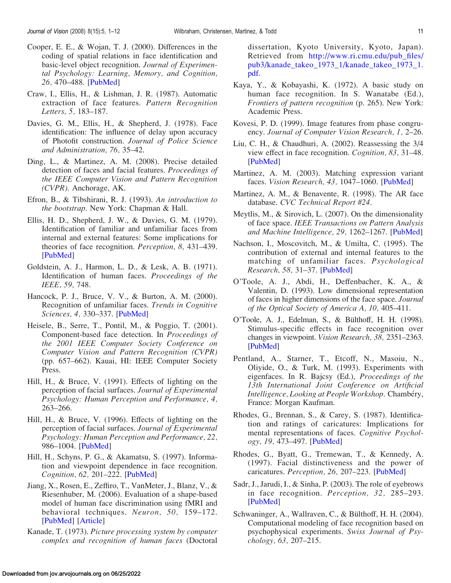- <span id="page-10-0"></span>Cooper, E. E., & Wojan, T. J. (2000). Differences in the coding of spatial relations in face identification and basic-level object recognition. Journal of Experimental Psychology: Learning, Memory, and Cognition, 26, 470–488. [\[PubMed](http://www.ncbi.nlm.nih.gov/pubmed/10764107?ordinalpos=10&itool=EntrezSystem2.PEntrez.Pubmed.Pubmed_ResultsPanel.Pubmed_DefaultReportPanel.Pubmed_RVDocSum)]
- Craw, I., Ellis, H., & Lishman, J. R. (1987). Automatic extraction of face features. Pattern Recognition Letters, 5, 183–187.
- Davies, G. M., Ellis, H., & Shepherd, J. (1978). Face identification: The influence of delay upon accuracy of Photofit construction. Journal of Police Science and Administration, 76, 35–42.
- Ding, L., & Martinez, A. M. (2008). Precise detailed detection of faces and facial features. Proceedings of the IEEE Computer Vision and Pattern Recognition (CVPR). Anchorage, AK.
- Efron, B., & Tibshirani, R. J. (1993). An introduction to the bootstrap. New York: Chapman & Hall.
- Ellis, H. D., Shepherd, J. W., & Davies, G. M. (1979). Identification of familiar and unfamiliar faces from internal and external features: Some implications for theories of face recognition. Perception, 8, 431–439. [\[PubMed](http://www.ncbi.nlm.nih.gov/pubmed/503774?ordinalpos=84&itool=EntrezSystem2.PEntrez.Pubmed.Pubmed_ResultsPanel.Pubmed_DefaultReportPanel.Pubmed_RVDocSum)]
- Goldstein, A. J., Harmon, L. D., & Lesk, A. B. (1971). Identification of human faces. Proceedings of the IEEE, 59, 748.
- Hancock, P. J., Bruce, V. V., & Burton, A. M. (2000). Recognition of unfamiliar faces. Trends in Cognitive Sciences, 4, 330–337. [\[PubMed](http://www.ncbi.nlm.nih.gov/pubmed/10962614?ordinalpos=43&itool=EntrezSystem2.PEntrez.Pubmed.Pubmed_ResultsPanel.Pubmed_DefaultReportPanel.Pubmed_RVDocSum)]
- Heisele, B., Serre, T., Pontil, M., & Poggio, T. (2001). Component-based face detection. In Proceedings of the 2001 IEEE Computer Society Conference on Computer Vision and Pattern Recognition (CVPR) (pp. 657–662). Kauai, HI: IEEE Computer Society Press.
- Hill, H., & Bruce, V. (1991). Effects of lighting on the perception of facial surfaces. Journal of Experimental Psychology: Human Perception and Performance, 4, 263–266.
- Hill, H., & Bruce, V. (1996). Effects of lighting on the perception of facial surfaces. Journal of Experimental Psychology: Human Perception and Performance, 22, 986–1004. [[PubMed\]](http://www.ncbi.nlm.nih.gov/pubmed/8756964?ordinalpos=2&itool=EntrezSystem2.PEntrez.Pubmed.Pubmed_ResultsPanel.Pubmed_DefaultReportPanel.Pubmed_RVDocSum)
- Hill, H., Schyns, P. G., & Akamatsu, S. (1997). Information and viewpoint dependence in face recognition. Cognition, 62, 201–222. [[PubMed\]](http://www.ncbi.nlm.nih.gov/pubmed/9141907?ordinalpos=4&itool=EntrezSystem2.PEntrez.Pubmed.Pubmed_ResultsPanel.Pubmed_DefaultReportPanel.Pubmed_RVDocSum)
- Jiang, X., Rosen, E., Zeffiro, T., VanMeter, J., Blanz, V., & Riesenhuber, M. (2006). Evaluation of a shape-based model of human face discrimination using fMRI and behavioral techniques. Neuron, 50, 159–172. [\[PubMed](http://www.ncbi.nlm.nih.gov/pubmed/16600863?ordinalpos=1&itool=EntrezSystem2.PEntrez.Pubmed.Pubmed_ResultsPanel.Pubmed_DefaultReportPanel.Pubmed_RVDocSum)] [\[Article\]](http://www.sciencedirect.com/science?_ob=ArticleURL&_udi=B6WSS-4JN1NYS-M&_user=10&_rdoc=1&_fmt=&_orig=search&_sort=d&view=c&_version=1&_urlVersion=0&_userid=10&md5=f68f43f0763d1447afb13825708c5d9f)
- Kanade, T. (1973). Picture processing system by computer complex and recognition of human faces (Doctoral

dissertation, Kyoto University, Kyoto, Japan). Retrieved from [http://www.ri.cmu.edu/pub\\_files/](http://www.ri.cmu.edu/pub_files/pub3/kanade_takeo_1973_1/kanade_takeo_1973_1.pdf) [pub3/kanade\\_takeo\\_1973\\_1/kanade\\_takeo\\_1973\\_1.](http://www.ri.cmu.edu/pub_files/pub3/kanade_takeo_1973_1/kanade_takeo_1973_1.pdf) [pdf](http://www.ri.cmu.edu/pub_files/pub3/kanade_takeo_1973_1/kanade_takeo_1973_1.pdf).

- Kaya, Y., & Kobayashi, K. (1972). A basic study on human face recognition. In S. Wanatabe (Ed.), Frontiers of pattern recognition (p. 265). New York: Academic Press.
- Kovesi, P. D. (1999). Image features from phase congruency. Journal of Computer Vision Research, 1, 2–26.
- Liu, C. H., & Chaudhuri, A. (2002). Reassessing the 3/4 view effect in face recognition. Cognition, 83, 31–48. [\[PubMed](http://www.ncbi.nlm.nih.gov/pubmed/11814485?ordinalpos=1&itool=EntrezSystem2.PEntrez.Pubmed.Pubmed_ResultsPanel.Pubmed_DefaultReportPanel.Pubmed_RVDocSum)]
- Martinez, A. M. (2003). Matching expression variant faces. Vision Research, 43, 1047-1060. [[PubMed\]](http://www.ncbi.nlm.nih.gov/pubmed/12676247?ordinalpos=75&itool=EntrezSystem2.PEntrez.Pubmed.Pubmed_ResultsPanel.Pubmed_DefaultReportPanel.Pubmed_RVDocSum)
- Martinez, A. M., & Benavente, R. (1998). The AR face database. CVC Technical Report #24.
- Meytlis, M., & Sirovich, L. (2007). On the dimensionality of face space. IEEE Transactions on Pattern Analysis and Machine Intelligence, 29, 1262-1267. [\[PubMed\]](http://www.ncbi.nlm.nih.gov/pubmed/17496382?ordinalpos=10&itool=EntrezSystem2.PEntrez.Pubmed.Pubmed_ResultsPanel.Pubmed_DefaultReportPanel.Pubmed_RVDocSum)
- Nachson, I., Moscovitch, M., & Umilta, C. (1995). The contribution of external and internal features to the matching of unfamiliar faces. Psychological Research, 58, 31–37. [\[PubMed](http://www.ncbi.nlm.nih.gov/pubmed/7675930?ordinalpos=16&itool=EntrezSystem2.PEntrez.Pubmed.Pubmed_ResultsPanel.Pubmed_DefaultReportPanel.Pubmed_RVDocSum)]
- O'Toole, A. J., Abdi, H., Deffenbacher, K. A., & Valentin, D. (1993). Low dimensional representation of faces in higher dimensions of the face space. Journal of the Optical Society of America A, 10, 405–411.
- O'Toole, A. J., Edelman, S., & Bülthoff, H. H. (1998). Stimulus-specific effects in face recognition over changes in viewpoint. Vision Research, 38, 2351–2363. [\[PubMed\]](http://www.ncbi.nlm.nih.gov/pubmed/9798004?ordinalpos=2&itool=EntrezSystem2.PEntrez.Pubmed.Pubmed_ResultsPanel.Pubmed_DefaultReportPanel.Pubmed_RVDocSum)
- Pentland, A., Starner, T., Etcoff, N., Masoiu, N., Oliyide, O., & Turk, M. (1993). Experiments with eigenfaces. In R. Bajcsy (Ed.), Proceedings of the 13th International Joint Conference on Artificial Intelligence, Looking at People Workshop. Chambéry, France: Morgan Kaufman.
- Rhodes, G., Brennan, S., & Carey, S. (1987). Identification and ratings of caricatures: Implications for mental representations of faces. Cognitive Psychology, 19, 473–497. [\[PubMed](http://www.ncbi.nlm.nih.gov/pubmed/3677584?ordinalpos=87&itool=EntrezSystem2.PEntrez.Pubmed.Pubmed_ResultsPanel.Pubmed_DefaultReportPanel.Pubmed_RVDocSum)]
- Rhodes, G., Byatt, G., Tremewan, T., & Kennedy, A. (1997). Facial distinctiveness and the power of caricatures. *Perception*, 26, 207–223. [[PubMed\]](http://www.ncbi.nlm.nih.gov/pubmed/9274754?ordinalpos=3&itool=EntrezSystem2.PEntrez.Pubmed.Pubmed_ResultsPanel.Pubmed_DefaultReportPanel.Pubmed_RVDocSum)
- Sadr, J., Jarudi, I., & Sinha, P. (2003). The role of eyebrows in face recognition. Perception, 32, 285–293. [\[PubMed](http://www.ncbi.nlm.nih.gov/pubmed/12729380?ordinalpos=2&itool=EntrezSystem2.PEntrez.Pubmed.Pubmed_ResultsPanel.Pubmed_DefaultReportPanel.Pubmed_RVDocSum)]
- Schwaninger, A., Wallraven, C., & Bülthoff, H. H. (2004). Computational modeling of face recognition based on psychophysical experiments. Swiss Journal of Psychology, 63, 207–215.